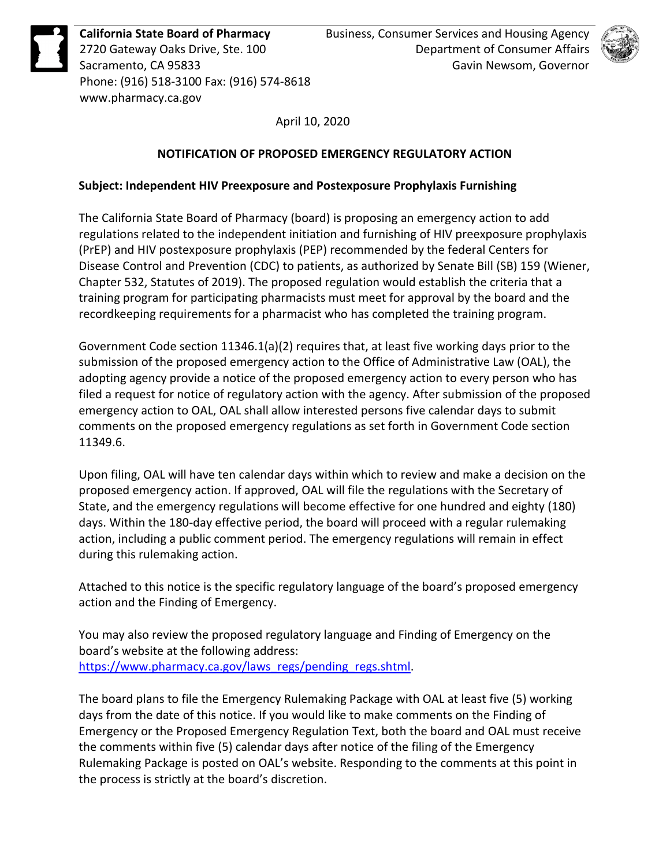

**California State Board of Pharmacy** 2720 Gateway Oaks Drive, Ste. 100 Sacramento, CA 95833 Phone: (916) 518-3100 Fax: (916) 574-8618 www.pharmacy.ca.gov



April 10, 2020

## **NOTIFICATION OF PROPOSED EMERGENCY REGULATORY ACTION**

## **Subject: Independent HIV Preexposure and Postexposure Prophylaxis Furnishing**

The California State Board of Pharmacy (board) is proposing an emergency action to add regulations related to the independent initiation and furnishing of HIV preexposure prophylaxis (PrEP) and HIV postexposure prophylaxis (PEP) recommended by the federal Centers for Disease Control and Prevention (CDC) to patients, as authorized by Senate Bill (SB) 159 (Wiener, Chapter 532, Statutes of 2019). The proposed regulation would establish the criteria that a training program for participating pharmacists must meet for approval by the board and the recordkeeping requirements for a pharmacist who has completed the training program.

Government Code section 11346.1(a)(2) requires that, at least five working days prior to the submission of the proposed emergency action to the Office of Administrative Law (OAL), the adopting agency provide a notice of the proposed emergency action to every person who has filed a request for notice of regulatory action with the agency. After submission of the proposed emergency action to OAL, OAL shall allow interested persons five calendar days to submit comments on the proposed emergency regulations as set forth in Government Code section 11349.6.

Upon filing, OAL will have ten calendar days within which to review and make a decision on the proposed emergency action. If approved, OAL will file the regulations with the Secretary of State, and the emergency regulations will become effective for one hundred and eighty (180) days. Within the 180-day effective period, the board will proceed with a regular rulemaking action, including a public comment period. The emergency regulations will remain in effect during this rulemaking action.

Attached to this notice is the specific regulatory language of the board's proposed emergency action and the Finding of Emergency.

You may also review the proposed regulatory language and Finding of Emergency on the board's website at the following address: [https://www.pharmacy.ca.gov/laws\\_regs/pending\\_regs.shtml.](https://www.pharmacy.ca.gov/laws_regs/pending_regs.shtml)

The board plans to file the Emergency Rulemaking Package with OAL at least five (5) working days from the date of this notice. If you would like to make comments on the Finding of Emergency or the Proposed Emergency Regulation Text, both the board and OAL must receive the comments within five (5) calendar days after notice of the filing of the Emergency Rulemaking Package is posted on OAL's website. Responding to the comments at this point in the process is strictly at the board's discretion.